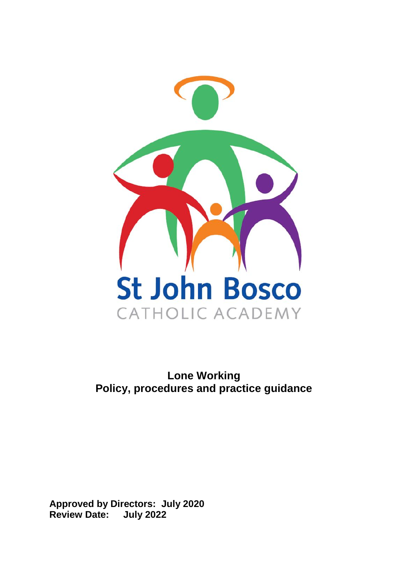

# **Lone Working Policy, procedures and practice guidance**

**Approved by Directors: July 2020 Review Date: July 2022**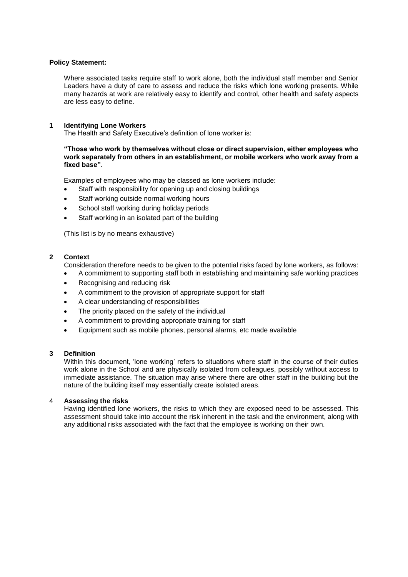#### **Policy Statement:**

Where associated tasks require staff to work alone, both the individual staff member and Senior Leaders have a duty of care to assess and reduce the risks which lone working presents. While many hazards at work are relatively easy to identify and control, other health and safety aspects are less easy to define.

#### **1 Identifying Lone Workers**

The Health and Safety Executive's definition of lone worker is:

#### **"Those who work by themselves without close or direct supervision, either employees who work separately from others in an establishment, or mobile workers who work away from a fixed base".**

Examples of employees who may be classed as lone workers include:

- Staff with responsibility for opening up and closing buildings
- Staff working outside normal working hours
- School staff working during holiday periods
- Staff working in an isolated part of the building

(This list is by no means exhaustive)

#### **2 Context**

Consideration therefore needs to be given to the potential risks faced by lone workers, as follows:

- A commitment to supporting staff both in establishing and maintaining safe working practices
- Recognising and reducing risk
- A commitment to the provision of appropriate support for staff
- A clear understanding of responsibilities
- The priority placed on the safety of the individual
- A commitment to providing appropriate training for staff
- Equipment such as mobile phones, personal alarms, etc made available

#### **3 Definition**

Within this document, 'lone working' refers to situations where staff in the course of their duties work alone in the School and are physically isolated from colleagues, possibly without access to immediate assistance. The situation may arise where there are other staff in the building but the nature of the building itself may essentially create isolated areas.

#### 4 **Assessing the risks**

Having identified lone workers, the risks to which they are exposed need to be assessed. This assessment should take into account the risk inherent in the task and the environment, along with any additional risks associated with the fact that the employee is working on their own.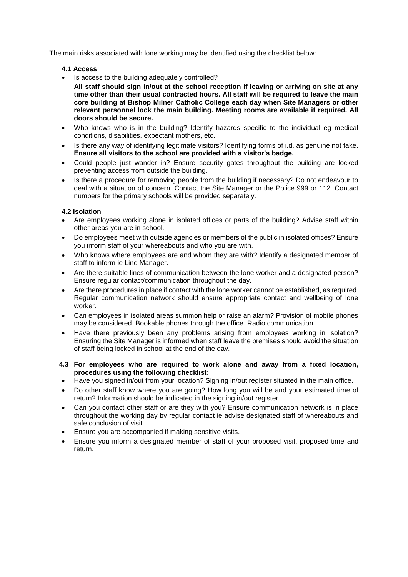The main risks associated with lone working may be identified using the checklist below:

#### **4.1 Access**

• Is access to the building adequately controlled?

**All staff should sign in/out at the school reception if leaving or arriving on site at any time other than their usual contracted hours. All staff will be required to leave the main core building at Bishop Milner Catholic College each day when Site Managers or other relevant personnel lock the main building. Meeting rooms are available if required. All doors should be secure.** 

- Who knows who is in the building? Identify hazards specific to the individual eg medical conditions, disabilities, expectant mothers, etc.
- Is there any way of identifying legitimate visitors? Identifying forms of i.d. as genuine not fake. **Ensure all visitors to the school are provided with a visitor's badge.**
- Could people just wander in? Ensure security gates throughout the building are locked preventing access from outside the building.
- Is there a procedure for removing people from the building if necessary? Do not endeavour to deal with a situation of concern. Contact the Site Manager or the Police 999 or 112. Contact numbers for the primary schools will be provided separately.

# **4.2 Isolation**

- Are employees working alone in isolated offices or parts of the building? Advise staff within other areas you are in school.
- Do employees meet with outside agencies or members of the public in isolated offices? Ensure you inform staff of your whereabouts and who you are with.
- Who knows where employees are and whom they are with? Identify a designated member of staff to inform ie Line Manager.
- Are there suitable lines of communication between the lone worker and a designated person? Ensure regular contact/communication throughout the day.
- Are there procedures in place if contact with the lone worker cannot be established, as required. Regular communication network should ensure appropriate contact and wellbeing of lone worker.
- Can employees in isolated areas summon help or raise an alarm? Provision of mobile phones may be considered. Bookable phones through the office. Radio communication.
- Have there previously been any problems arising from employees working in isolation? Ensuring the Site Manager is informed when staff leave the premises should avoid the situation of staff being locked in school at the end of the day.
- **4.3 For employees who are required to work alone and away from a fixed location, procedures using the following checklist:**
- Have you signed in/out from your location? Signing in/out register situated in the main office.
- Do other staff know where you are going? How long you will be and your estimated time of return? Information should be indicated in the signing in/out register.
- Can you contact other staff or are they with you? Ensure communication network is in place throughout the working day by regular contact ie advise designated staff of whereabouts and safe conclusion of visit.
- Ensure you are accompanied if making sensitive visits.
- Ensure you inform a designated member of staff of your proposed visit, proposed time and return.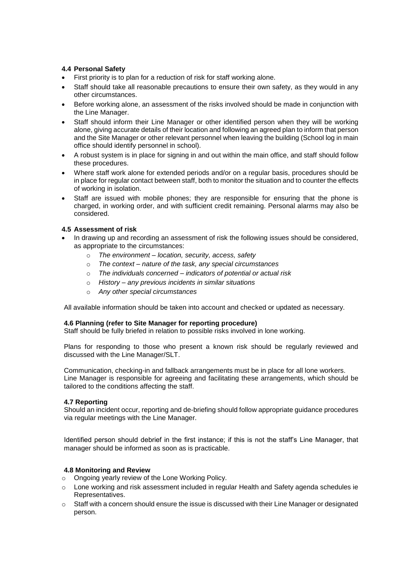# **4.4 Personal Safety**

- First priority is to plan for a reduction of risk for staff working alone.
- Staff should take all reasonable precautions to ensure their own safety, as they would in any other circumstances.
- Before working alone, an assessment of the risks involved should be made in conjunction with the Line Manager.
- Staff should inform their Line Manager or other identified person when they will be working alone, giving accurate details of their location and following an agreed plan to inform that person and the Site Manager or other relevant personnel when leaving the building (School log in main office should identify personnel in school).
- A robust system is in place for signing in and out within the main office, and staff should follow these procedures.
- Where staff work alone for extended periods and/or on a regular basis, procedures should be in place for regular contact between staff, both to monitor the situation and to counter the effects of working in isolation.
- Staff are issued with mobile phones; they are responsible for ensuring that the phone is charged, in working order, and with sufficient credit remaining. Personal alarms may also be considered.

# **4.5 Assessment of risk**

- In drawing up and recording an assessment of risk the following issues should be considered, as appropriate to the circumstances:
	- o *The environment – location, security, access, safety*
	- o *The context – nature of the task, any special circumstances*
	- o *The individuals concerned – indicators of potential or actual risk*
	- o *History – any previous incidents in similar situations*
	- o *Any other special circumstances*

All available information should be taken into account and checked or updated as necessary.

# **4.6 Planning (refer to Site Manager for reporting procedure)**

Staff should be fully briefed in relation to possible risks involved in lone working.

Plans for responding to those who present a known risk should be regularly reviewed and discussed with the Line Manager/SLT.

Communication, checking-in and fallback arrangements must be in place for all lone workers. Line Manager is responsible for agreeing and facilitating these arrangements, which should be tailored to the conditions affecting the staff.

# **4.7 Reporting**

Should an incident occur, reporting and de-briefing should follow appropriate guidance procedures via regular meetings with the Line Manager.

Identified person should debrief in the first instance; if this is not the staff's Line Manager, that manager should be informed as soon as is practicable.

# **4.8 Monitoring and Review**

- o Ongoing yearly review of the Lone Working Policy.
- o Lone working and risk assessment included in regular Health and Safety agenda schedules ie Representatives.
- $\circ$  Staff with a concern should ensure the issue is discussed with their Line Manager or designated person.